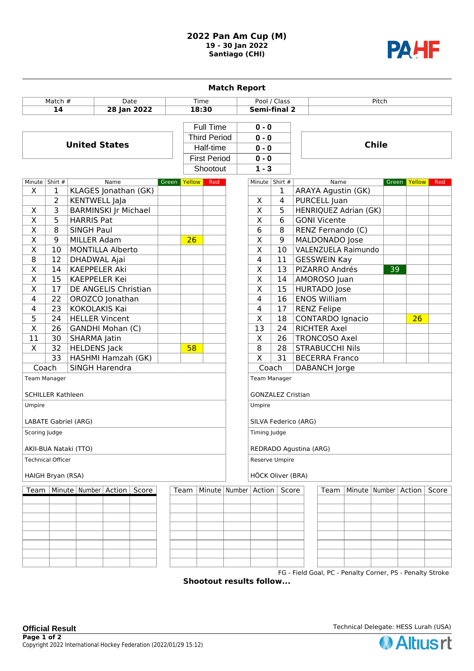## **2022 Pan Am Cup (M) 19 - 30 Jan 2022 Santiago (CHI)**



| <b>Match Report</b>                   |                      |                                  |              |                     |                                  |                          |                          |                       |                                                           |                          |    |                 |       |  |
|---------------------------------------|----------------------|----------------------------------|--------------|---------------------|----------------------------------|--------------------------|--------------------------|-----------------------|-----------------------------------------------------------|--------------------------|----|-----------------|-------|--|
| Match $#$<br>Date                     |                      |                                  |              | Time                |                                  | Pool / Class             |                          | Pitch                 |                                                           |                          |    |                 |       |  |
| 14<br>28 Jan 2022                     |                      |                                  |              | 18:30               |                                  | <b>Semi-final 2</b>      |                          |                       |                                                           |                          |    |                 |       |  |
|                                       |                      |                                  |              |                     |                                  |                          |                          |                       |                                                           |                          |    |                 |       |  |
|                                       |                      |                                  |              |                     | <b>Full Time</b>                 | $0 - 0$                  |                          |                       |                                                           |                          |    |                 |       |  |
|                                       | <b>United States</b> |                                  |              |                     | <b>Third Period</b><br>Half-time |                          | $0 - 0$                  |                       | <b>Chile</b>                                              |                          |    |                 |       |  |
|                                       |                      |                                  |              |                     |                                  |                          | $0 - 0$                  |                       |                                                           |                          |    |                 |       |  |
|                                       |                      |                                  |              | <b>First Period</b> |                                  |                          | $0 - 0$                  |                       |                                                           |                          |    |                 |       |  |
|                                       |                      |                                  |              | Shootout            |                                  |                          | $1 - 3$                  |                       |                                                           |                          |    |                 |       |  |
| Minute   Shirt #                      |                      | Name                             | Green Yellow |                     | Red                              |                          | Minute Shirt #           |                       |                                                           | Name                     |    | Green Yellow    | Red   |  |
| X                                     | 1                    | KLAGES Jonathan (GK)             |              |                     |                                  |                          |                          | 1                     | ARAYA Agustin (GK)                                        |                          |    |                 |       |  |
|                                       | $\overline{2}$       | <b>KENTWELL JaJa</b>             |              |                     |                                  |                          | X                        | 4                     | PURCELL Juan                                              |                          |    |                 |       |  |
| X                                     | $\overline{3}$       | <b>BARMINSKI Jr Michael</b>      |              |                     |                                  |                          | $\overline{\mathsf{x}}$  | 5                     |                                                           | HENRIQUEZ Adrian (GK)    |    |                 |       |  |
| $\overline{\mathsf{x}}$               | $\overline{5}$       | <b>HARRIS Pat</b>                |              |                     |                                  |                          | $\overline{\mathsf{x}}$  | 6                     | <b>GONI Vicente</b>                                       |                          |    |                 |       |  |
| $\overline{\mathsf{x}}$               | 8                    | <b>SINGH Paul</b>                |              |                     |                                  |                          | 6                        | 8                     | RENZ Fernando (C)                                         |                          |    |                 |       |  |
| $\overline{X}$                        | $\overline{9}$       | MILLER Adam                      |              | 26                  |                                  |                          | $\overline{\mathsf{x}}$  | 9                     | <b>MALDONADO</b> Jose                                     |                          |    |                 |       |  |
| $\overline{\mathsf{X}}$               | 10                   | <b>MONTILLA Alberto</b>          |              |                     |                                  |                          | $\overline{\mathsf{X}}$  | 10                    |                                                           | VALENZUELA Raimundo      |    |                 |       |  |
| $\overline{8}$                        | 12                   | DHADWAL Ajai                     |              |                     |                                  |                          | $\overline{4}$           | 11                    | <b>GESSWEIN Kay</b>                                       |                          |    |                 |       |  |
| $\overline{\mathsf{x}}$               | 14                   | <b>KAEPPELER Aki</b>             |              |                     |                                  |                          | $\overline{\mathsf{x}}$  | 13                    | <b>PIZARRO Andrés</b>                                     |                          | 39 |                 |       |  |
| $\overline{\mathsf{x}}$               | 15                   | <b>KAEPPELER Kei</b>             |              |                     |                                  |                          | $\overline{\mathsf{x}}$  | 14                    | AMOROSO Juan                                              |                          |    |                 |       |  |
| $\overline{\mathsf{x}}$               | 17                   | DE ANGELIS Christian             |              |                     |                                  |                          | $\overline{\mathsf{x}}$  | 15                    | <b>HURTADO</b> Jose                                       |                          |    |                 |       |  |
| 4                                     | $\overline{22}$      | OROZCO Jonathan                  |              |                     |                                  |                          | $\overline{4}$           | 16                    | <b>ENOS William</b>                                       |                          |    |                 |       |  |
| 4                                     | 23                   | <b>KOKOLAKIS Kai</b>             |              |                     |                                  |                          | $\overline{4}$           | 17                    | <b>RENZ Felipe</b>                                        |                          |    |                 |       |  |
| 5                                     | 24                   | <b>HELLER Vincent</b>            |              |                     |                                  |                          | $\overline{\mathsf{x}}$  | 18                    | <b>CONTARDO Ignacio</b>                                   |                          |    | $\overline{26}$ |       |  |
| $\overline{\mathsf{x}}$               | 26                   | GANDHI Mohan (C)                 |              |                     |                                  |                          | $\overline{13}$          | 24                    | <b>RICHTER Axel</b>                                       |                          |    |                 |       |  |
| 11                                    | 30                   | SHARMA Jatin                     |              |                     |                                  |                          | X                        | 26                    | <b>TRONCOSO Axel</b>                                      |                          |    |                 |       |  |
| X                                     | 32                   | <b>HELDENS Jack</b>              |              | 58                  |                                  |                          | 8                        | 28                    | <b>STRABUCCHI Nils</b>                                    |                          |    |                 |       |  |
| $\overline{33}$<br>HASHMI Hamzah (GK) |                      |                                  |              |                     |                                  | $\overline{\mathsf{x}}$  | 31                       | <b>BECERRA Franco</b> |                                                           |                          |    |                 |       |  |
| Coach                                 |                      | SINGH Harendra                   |              |                     |                                  |                          | Coach<br>DABANCH Jorge   |                       |                                                           |                          |    |                 |       |  |
| Team Manager                          |                      |                                  |              |                     |                                  |                          | <b>Team Manager</b>      |                       |                                                           |                          |    |                 |       |  |
| <b>SCHILLER Kathleen</b>              |                      |                                  |              |                     |                                  |                          | <b>GONZALEZ Cristian</b> |                       |                                                           |                          |    |                 |       |  |
|                                       |                      |                                  |              |                     |                                  |                          | Umpire                   |                       |                                                           |                          |    |                 |       |  |
| Umpire                                |                      |                                  |              |                     |                                  |                          |                          |                       |                                                           |                          |    |                 |       |  |
|                                       | LABATE Gabriel (ARG) |                                  |              |                     |                                  |                          |                          | SILVA Federico (ARG)  |                                                           |                          |    |                 |       |  |
|                                       | Scoring Judge        |                                  |              |                     |                                  |                          |                          | Timing Judge          |                                                           |                          |    |                 |       |  |
| AKII-BUA Nataki (TTO)                 |                      |                                  |              |                     |                                  |                          | REDRADO Agustina (ARG)   |                       |                                                           |                          |    |                 |       |  |
| <b>Technical Officer</b>              |                      |                                  |              |                     |                                  |                          | Reserve Umpire           |                       |                                                           |                          |    |                 |       |  |
| HAIGH Bryan (RSA)                     |                      |                                  |              |                     |                                  |                          | HÖCK Oliver (BRA)        |                       |                                                           |                          |    |                 |       |  |
|                                       | Team                 |                                  |              |                     |                                  |                          |                          |                       |                                                           |                          |    |                 |       |  |
| Team                                  |                      | Minute   Number   Action   Score |              |                     |                                  | Minute   Number   Action |                          | Score                 | Team                                                      | Minute   Number   Action |    |                 | Score |  |
|                                       |                      |                                  |              |                     |                                  |                          |                          |                       |                                                           |                          |    |                 |       |  |
|                                       |                      |                                  |              |                     |                                  |                          |                          |                       |                                                           |                          |    |                 |       |  |
|                                       |                      |                                  |              |                     |                                  |                          |                          |                       |                                                           |                          |    |                 |       |  |
|                                       |                      |                                  |              |                     |                                  |                          |                          |                       |                                                           |                          |    |                 |       |  |
|                                       |                      |                                  |              |                     |                                  |                          |                          |                       |                                                           |                          |    |                 |       |  |
|                                       |                      |                                  |              |                     |                                  |                          |                          |                       |                                                           |                          |    |                 |       |  |
|                                       |                      |                                  |              |                     |                                  |                          |                          |                       |                                                           |                          |    |                 |       |  |
|                                       |                      |                                  |              |                     |                                  |                          |                          |                       | FG - Field Goal, PC - Penalty Corner, PS - Penalty Stroke |                          |    |                 |       |  |

**Shootout results follow...**